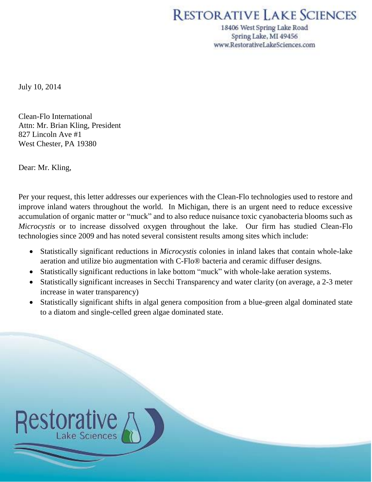## RESTORATIVE LAKE SCIENCES

18406 West Spring Lake Road Spring Lake, MI 49456 www.RestorativeLakeSciences.com

July 10, 2014

Clean-Flo International Attn: Mr. Brian Kling, President 827 Lincoln Ave #1 West Chester, PA 19380

Dear: Mr. Kling,

Per your request, this letter addresses our experiences with the Clean-Flo technologies used to restore and improve inland waters throughout the world. In Michigan, there is an urgent need to reduce excessive accumulation of organic matter or "muck" and to also reduce nuisance toxic cyanobacteria blooms such as *Microcystis* or to increase dissolved oxygen throughout the lake. Our firm has studied Clean-Flo technologies since 2009 and has noted several consistent results among sites which include:

- Statistically significant reductions in *Microcystis* colonies in inland lakes that contain whole-lake aeration and utilize bio augmentation with C-Flo® bacteria and ceramic diffuser designs.
- Statistically significant reductions in lake bottom "muck" with whole-lake aeration systems.
- Statistically significant increases in Secchi Transparency and water clarity (on average, a 2-3 meter increase in water transparency)
- Statistically significant shifts in algal genera composition from a blue-green algal dominated state to a diatom and single-celled green algae dominated state.